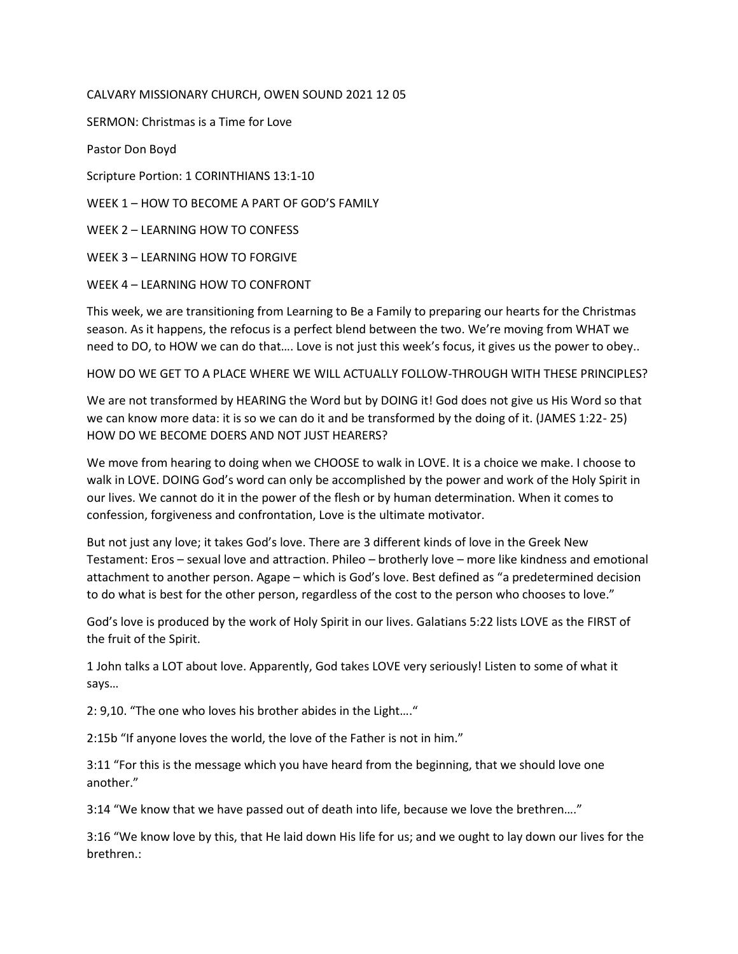## CALVARY MISSIONARY CHURCH, OWEN SOUND 2021 12 05

SERMON: Christmas is a Time for Love

Pastor Don Boyd

Scripture Portion: 1 CORINTHIANS 13:1-10

WEEK 1 – HOW TO BECOME A PART OF GOD'S FAMILY

WEEK 2 – LEARNING HOW TO CONFESS

WEEK 3 – LEARNING HOW TO FORGIVE

WEEK 4 – LEARNING HOW TO CONFRONT

This week, we are transitioning from Learning to Be a Family to preparing our hearts for the Christmas season. As it happens, the refocus is a perfect blend between the two. We're moving from WHAT we need to DO, to HOW we can do that…. Love is not just this week's focus, it gives us the power to obey..

HOW DO WE GET TO A PLACE WHERE WE WILL ACTUALLY FOLLOW-THROUGH WITH THESE PRINCIPLES?

We are not transformed by HEARING the Word but by DOING it! God does not give us His Word so that we can know more data: it is so we can do it and be transformed by the doing of it. (JAMES 1:22- 25) HOW DO WE BECOME DOERS AND NOT JUST HEARERS?

We move from hearing to doing when we CHOOSE to walk in LOVE. It is a choice we make. I choose to walk in LOVE. DOING God's word can only be accomplished by the power and work of the Holy Spirit in our lives. We cannot do it in the power of the flesh or by human determination. When it comes to confession, forgiveness and confrontation, Love is the ultimate motivator.

But not just any love; it takes God's love. There are 3 different kinds of love in the Greek New Testament: Eros – sexual love and attraction. Phileo – brotherly love – more like kindness and emotional attachment to another person. Agape – which is God's love. Best defined as "a predetermined decision to do what is best for the other person, regardless of the cost to the person who chooses to love."

God's love is produced by the work of Holy Spirit in our lives. Galatians 5:22 lists LOVE as the FIRST of the fruit of the Spirit.

1 John talks a LOT about love. Apparently, God takes LOVE very seriously! Listen to some of what it says…

2: 9,10. "The one who loves his brother abides in the Light…."

2:15b "If anyone loves the world, the love of the Father is not in him."

3:11 "For this is the message which you have heard from the beginning, that we should love one another."

3:14 "We know that we have passed out of death into life, because we love the brethren…."

3:16 "We know love by this, that He laid down His life for us; and we ought to lay down our lives for the brethren.: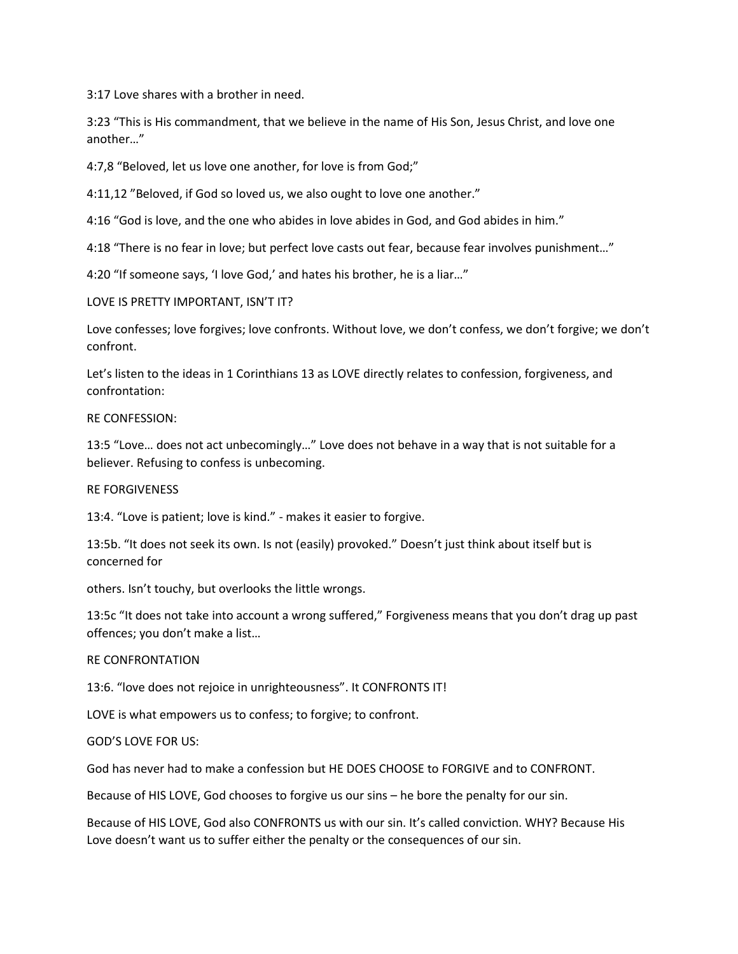3:17 Love shares with a brother in need.

3:23 "This is His commandment, that we believe in the name of His Son, Jesus Christ, and love one another…"

4:7,8 "Beloved, let us love one another, for love is from God;"

4:11,12 "Beloved, if God so loved us, we also ought to love one another."

4:16 "God is love, and the one who abides in love abides in God, and God abides in him."

4:18 "There is no fear in love; but perfect love casts out fear, because fear involves punishment…"

4:20 "If someone says, 'I love God,' and hates his brother, he is a liar..."

LOVE IS PRETTY IMPORTANT, ISN'T IT?

Love confesses; love forgives; love confronts. Without love, we don't confess, we don't forgive; we don't confront.

Let's listen to the ideas in 1 Corinthians 13 as LOVE directly relates to confession, forgiveness, and confrontation:

### RE CONFESSION:

13:5 "Love… does not act unbecomingly…" Love does not behave in a way that is not suitable for a believer. Refusing to confess is unbecoming.

#### RE FORGIVENESS

13:4. "Love is patient; love is kind." - makes it easier to forgive.

13:5b. "It does not seek its own. Is not (easily) provoked." Doesn't just think about itself but is concerned for

others. Isn't touchy, but overlooks the little wrongs.

13:5c "It does not take into account a wrong suffered," Forgiveness means that you don't drag up past offences; you don't make a list…

#### RE CONFRONTATION

13:6. "love does not rejoice in unrighteousness". It CONFRONTS IT!

LOVE is what empowers us to confess; to forgive; to confront.

GOD'S LOVE FOR US:

God has never had to make a confession but HE DOES CHOOSE to FORGIVE and to CONFRONT.

Because of HIS LOVE, God chooses to forgive us our sins – he bore the penalty for our sin.

Because of HIS LOVE, God also CONFRONTS us with our sin. It's called conviction. WHY? Because His Love doesn't want us to suffer either the penalty or the consequences of our sin.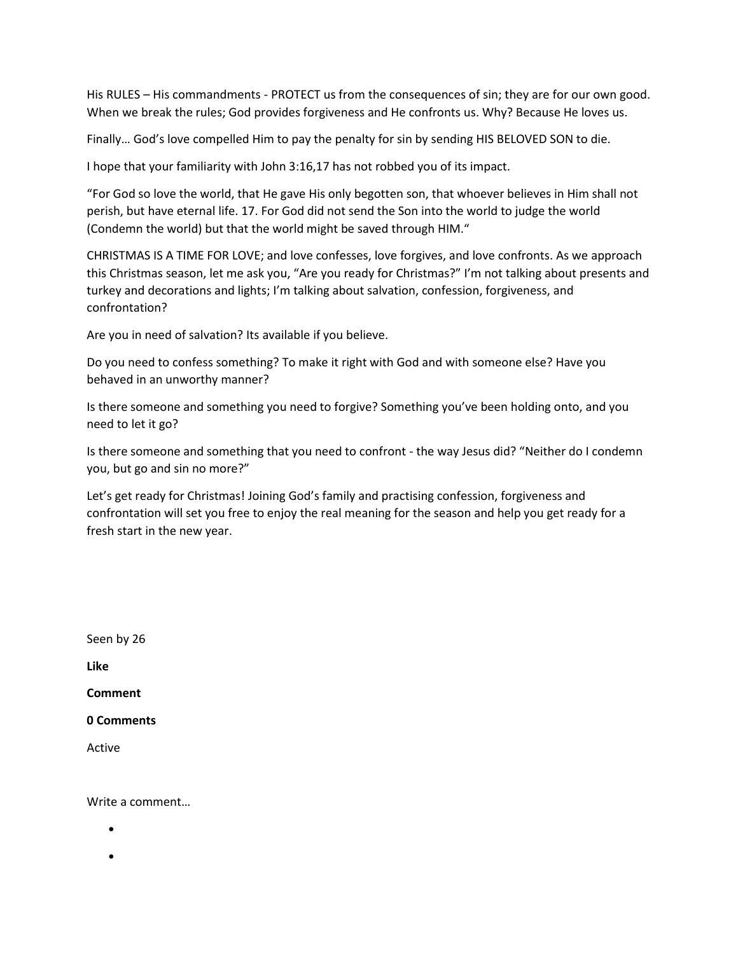His RULES – His commandments - PROTECT us from the consequences of sin; they are for our own good. When we break the rules; God provides forgiveness and He confronts us. Why? Because He loves us.

Finally… God's love compelled Him to pay the penalty for sin by sending HIS BELOVED SON to die.

I hope that your familiarity with John 3:16,17 has not robbed you of its impact.

"For God so love the world, that He gave His only begotten son, that whoever believes in Him shall not perish, but have eternal life. 17. For God did not send the Son into the world to judge the world (Condemn the world) but that the world might be saved through HIM."

CHRISTMAS IS A TIME FOR LOVE; and love confesses, love forgives, and love confronts. As we approach this Christmas season, let me ask you, "Are you ready for Christmas?" I'm not talking about presents and turkey and decorations and lights; I'm talking about salvation, confession, forgiveness, and confrontation?

Are you in need of salvation? Its available if you believe.

Do you need to confess something? To make it right with God and with someone else? Have you behaved in an unworthy manner?

Is there someone and something you need to forgive? Something you've been holding onto, and you need to let it go?

Is there someone and something that you need to confront - the way Jesus did? "Neither do I condemn you, but go and sin no more?"

Let's get ready for Christmas! Joining God's family and practising confession, forgiveness and confrontation will set you free to enjoy the real meaning for the season and help you get ready for a fresh start in the new year.

Seen by 26 **Like Comment 0 Comments**

Active

Write a comment…

 $\bullet$ 

 $\bullet$